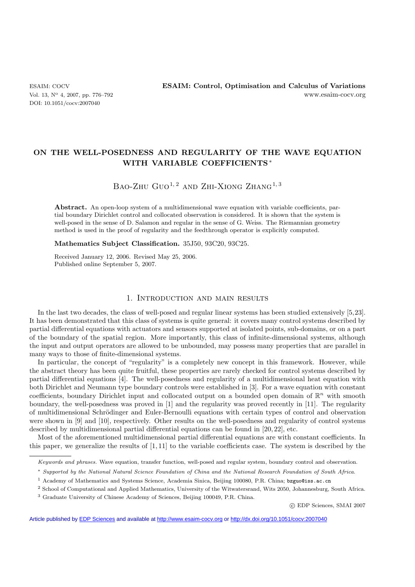# **ON THE WELL-POSEDNESS AND REGULARITY OF THE WAVE EQUATION WITH VARIABLE COEFFICIENTS**∗

# BAO-ZHU GUO<sup>1, 2</sup> AND ZHI-XIONG ZHANG<sup>1, 3</sup>

Abstract. An open-loop system of a multidimensional wave equation with variable coefficients, partial boundary Dirichlet control and collocated observation is considered. It is shown that the system is well-posed in the sense of D. Salamon and regular in the sense of G. Weiss. The Riemannian geometry method is used in the proof of regularity and the feedthrough operator is explicitly computed.

#### **Mathematics Subject Classification.** 35J50, 93C20, 93C25.

Received January 12, 2006. Revised May 25, 2006. Published online September 5, 2007.

### 1. Introduction and main results

In the last two decades, the class of well-posed and regular linear systems has been studied extensively [5,23]. It has been demonstrated that this class of systems is quite general: it covers many control systems described by partial differential equations with actuators and sensors supported at isolated points, sub-domains, or on a part of the boundary of the spatial region. More importantly, this class of infinite-dimensional systems, although the input and output operators are allowed to be unbounded, may possess many properties that are parallel in many ways to those of finite-dimensional systems.

In particular, the concept of "regularity" is a completely new concept in this framework. However, while the abstract theory has been quite fruitful, these properties are rarely checked for control systems described by partial differential equations [4]. The well-posedness and regularity of a multidimensional heat equation with both Dirichlet and Neumann type boundary controls were established in [3]. For a wave equation with constant coefficients, boundary Dirichlet input and collocated output on a bounded open domain of  $\mathbb{R}^n$  with smooth boundary, the well-posedness was proved in [1] and the regularity was proved recently in [11]. The regularity of multidimensional Schrödinger and Euler-Bernoulli equations with certain types of control and observation were shown in [9] and [10], respectively. Other results on the well-posedness and regularity of control systems described by multidimensional partial differential equations can be found in [20, 22], etc.

Most of the aforementioned multidimensional partial differential equations are with constant coefficients. In this paper, we generalize the results of [1, 11] to the variable coefficients case. The system is described by the

<sup>2</sup> School of Computational and Applied Mathematics, University of the Witwatersrand, Wits 2050, Johannesburg, South Africa.

-c EDP Sciences, SMAI 2007

Article published by [EDP Sciences](http://www.edpsciences.org) and available at<http://www.esaim-cocv.org> or <http://dx.doi.org/10.1051/cocv:2007040>

Keywords and phrases. Wave equation, transfer function, well-posed and regular system, boundary control and observation.

<sup>∗</sup> Supported by the National Natural Science Foundation of China and the National Research Foundation of South Africa.

<sup>1</sup> Academy of Mathematics and Systems Science, Academia Sinica, Beijing 100080, P.R. China; bzguo@iss.ac.cn

<sup>3</sup> Graduate University of Chinese Academy of Sciences, Beijing 100049, P.R. China.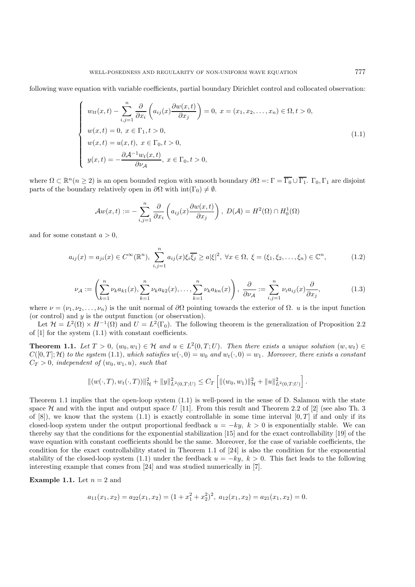following wave equation with variable coefficients, partial boundary Dirichlet control and collocated observation:

$$
\begin{cases}\nw_{tt}(x,t) - \sum_{i,j=1}^{n} \frac{\partial}{\partial x_i} \left( a_{ij}(x) \frac{\partial w(x,t)}{\partial x_j} \right) = 0, \ x = (x_1, x_2, \dots, x_n) \in \Omega, t > 0, \\
w(x,t) = 0, \ x \in \Gamma_1, t > 0, \\
w(x,t) = u(x,t), \ x \in \Gamma_0, t > 0, \\
y(x,t) = -\frac{\partial \mathcal{A}^{-1} w_t(x,t)}{\partial \nu_{\mathcal{A}}}, \ x \in \Gamma_0, t > 0,\n\end{cases}
$$
\n(1.1)

where  $\Omega \subset \mathbb{R}^n$  ( $n \geq 2$ ) is an open bounded region with smooth boundary  $\partial \Omega =: \Gamma = \overline{\Gamma_0} \cup \overline{\Gamma_1}$ .  $\Gamma_0, \Gamma_1$  are disjoint parts of the boundary relatively open in  $\partial\Omega$  with  $int(\Gamma_0) \neq \emptyset$ .

$$
\mathcal{A}w(x,t) := -\sum_{i,j=1}^n \frac{\partial}{\partial x_i} \left( a_{ij}(x) \frac{\partial w(x,t)}{\partial x_j} \right), \ D(\mathcal{A}) = H^2(\Omega) \cap H_0^1(\Omega)
$$

and for some constant  $a > 0$ ,

$$
a_{ij}(x) = a_{ji}(x) \in C^{\infty}(\mathbb{R}^n), \sum_{i,j=1}^n a_{ij}(x)\xi_i\overline{\xi_j} \ge a|\xi|^2, \ \forall x \in \Omega, \ \xi = (\xi_1, \xi_2, \dots, \xi_n) \in \mathbb{C}^n, \tag{1.2}
$$

$$
\nu_{\mathcal{A}} := \left(\sum_{k=1}^n \nu_k a_{k1}(x), \sum_{k=1}^n \nu_k a_{k2}(x), \dots, \sum_{k=1}^n \nu_k a_{kn}(x)\right), \frac{\partial}{\partial \nu_{\mathcal{A}}} := \sum_{i,j=1}^n \nu_i a_{ij}(x) \frac{\partial}{\partial x_j},\tag{1.3}
$$

where  $\nu = (\nu_1, \nu_2, \dots, \nu_n)$  is the unit normal of  $\partial \Omega$  pointing towards the exterior of  $\Omega$ . u is the input function (or control) and y is the output function (or observation).

Let  $\mathcal{H} = L^2(\Omega) \times H^{-1}(\Omega)$  and  $U = L^2(\Gamma_0)$ . The following theorem is the generalization of Proposition 2.2 of  $[1]$  for the system  $(1.1)$  with constant coefficients.

**Theorem 1.1.** *Let*  $T > 0$ ,  $(w_0, w_1) \in \mathcal{H}$  and  $u \in L^2(0, T; U)$ *. Then there exists a unique solution*  $(w, w_t) \in$  $C([0,T];\mathcal{H})$  to the system (1.1), which satisfies  $w(\cdot,0) = w_0$  and  $w_t(\cdot,0) = w_1$ . Moreover, there exists a constant  $C_T > 0$ , independent of  $(w_0, w_1, u)$ , such that

$$
\|(w(\cdot,T),w_t(\cdot,T))\|_{\mathcal{H}}^2 + \|y\|_{L^2(0,T;U)}^2 \leq C_T \left[ \|(w_0,w_1)\|_{\mathcal{H}}^2 + \|u\|_{L^2(0,T;U)}^2 \right].
$$

Theorem 1.1 implies that the open-loop system (1.1) is well-posed in the sense of D. Salamon with the state space  $\mathcal H$  and with the input and output space U [11]. From this result and Theorem 2.2 of [2] (see also Th. 3 of [8]), we know that the system (1.1) is exactly controllable in some time interval  $[0, T]$  if and only if its closed-loop system under the output proportional feedback  $u = -ky$ ,  $k > 0$  is exponentially stable. We can thereby say that the conditions for the exponential stabilization [15] and for the exact controllability [19] of the wave equation with constant coefficients should be the same. Moreover, for the case of variable coefficients, the condition for the exact controllability stated in Theorem 1.1 of [24] is also the condition for the exponential stability of the closed-loop system (1.1) under the feedback  $u = -ky$ ,  $k > 0$ . This fact leads to the following interesting example that comes from [24] and was studied numerically in [7].

**Example 1.1.** Let  $n = 2$  and

$$
a_{11}(x_1,x_2)=a_{22}(x_1,x_2)=(1+x_1^2+x_2^2)^2, a_{12}(x_1,x_2)=a_{21}(x_1,x_2)=0.
$$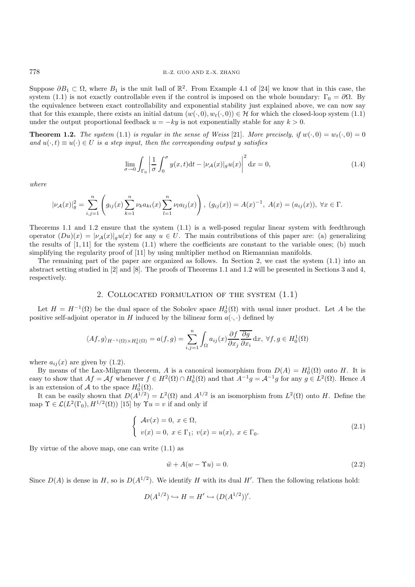Suppose  $\partial B_1 \subset \Omega$ , where  $B_1$  is the unit ball of  $\mathbb{R}^2$ . From Example 4.1 of [24] we know that in this case, the system (1.1) is not exactly controllable even if the control is imposed on the whole boundary:  $\Gamma_0 = \partial \Omega$ . By the equivalence between exact controllability and exponential stability just explained above, we can now say that for this example, there exists an initial datum  $(w(\cdot, 0), w_t(\cdot, 0)) \in \mathcal{H}$  for which the closed-loop system (1.1) under the output proportional feedback  $u = -ky$  is not exponentially stable for any  $k > 0$ .

**Theorem 1.2.** *The system* (1.1) *is regular in the sense of Weiss* [21]*. More precisely, if*  $w(\cdot, 0) = w_t(\cdot, 0) = 0$ *and*  $u(\cdot, t) \equiv u(\cdot) \in U$  *is a step input, then the corresponding output y satisfies* 

$$
\lim_{\sigma \to 0} \int_{\Gamma_0} \left| \frac{1}{\sigma} \int_0^{\sigma} y(x, t) dt - |\nu_{\mathcal{A}}(x)|_g u(x) \right|^2 dx = 0,
$$
\n(1.4)

*where*

$$
|\nu_{\mathcal{A}}(x)|_g^2 = \sum_{i,j=1}^n \left( g_{ij}(x) \sum_{k=1}^n \nu_k a_{ki}(x) \sum_{l=1}^n \nu_l a_{lj}(x) \right), (g_{ij}(x)) = A(x)^{-1}, A(x) = (a_{ij}(x)), \forall x \in \Gamma.
$$

Theorems 1.1 and 1.2 ensure that the system (1.1) is a well-posed regular linear system with feedthrough operator  $(Du)(x) = |\nu_A(x)|_g u(x)$  for any  $u \in U$ . The main contributions of this paper are: (a) generalizing the results of  $[1, 11]$  for the system  $(1.1)$  where the coefficients are constant to the variable ones; (b) much simplifying the regularity proof of [11] by using multiplier method on Riemannian manifolds.

The remaining part of the paper are organized as follows. In Section 2, we cast the system (1.1) into an abstract setting studied in [2] and [8]. The proofs of Theorems 1.1 and 1.2 will be presented in Sections 3 and 4, respectively.

### 2. Collocated formulation of the system (1.1)

Let  $H = H^{-1}(\Omega)$  be the dual space of the Sobolev space  $H_0^1(\Omega)$  with usual inner product. Let A be the sitive self-adjoint operator in H induced by the bilinear form  $g(x)$  defined by positive self-adjoint operator in H induced by the bilinear form  $a(\cdot, \cdot)$  defined by

$$
\langle Af, g \rangle_{H^{-1}(\Omega) \times H_0^1(\Omega)} = a(f, g) = \sum_{i,j=1}^n \int_{\Omega} a_{ij}(x) \frac{\partial f}{\partial x_j} \frac{\overline{\partial g}}{\partial x_i} dx, \ \forall f, g \in H_0^1(\Omega)
$$

where  $a_{ij}(x)$  are given by (1.2).

By means of the Lax-Milgram theorem, A is a canonical isomorphism from  $D(A) = H_0^1(\Omega)$  onto H. It is<br>gy to show that  $A f = Af$  whenever  $f \in H^2(\Omega) \cap H^1(\Omega)$  and that  $A^{-1}g = A^{-1}g$  for any  $g \in L^2(\Omega)$ . Hence A easy to show that  $Af = Af$  whenever  $f \in H^2(\Omega) \cap H_0^1(\Omega)$  and that  $A^{-1}g = A^{-1}g$  for any  $g \in L^2(\Omega)$ . Hence A is an extension of  $\mathcal{A}$  to the space  $H_0^1(\Omega)$ .<br>It can be easily shown that  $D(A^{1/2})$ .

It can be easily shown that  $D(A^{\tilde{1}/2}) = L^2(\Omega)$  and  $A^{1/2}$  is an isomorphism from  $L^2(\Omega)$  onto H. Define the map  $\Upsilon \in \mathcal{L}(L^2(\Gamma_0), H^{1/2}(\Omega))$  [15] by  $\Upsilon u = v$  if and only if

$$
\begin{cases}\n\mathcal{A}v(x) = 0, \ x \in \Omega, \\
v(x) = 0, \ x \in \Gamma_1; \ v(x) = u(x), \ x \in \Gamma_0.\n\end{cases}
$$
\n(2.1)

By virtue of the above map, one can write  $(1.1)$  as

$$
\ddot{w} + A(w - \Upsilon u) = 0. \tag{2.2}
$$

Since  $D(A)$  is dense in H, so is  $D(A^{1/2})$ . We identify H with its dual H'. Then the following relations hold:

$$
D(A^{1/2}) \hookrightarrow H = H' \hookrightarrow (D(A^{1/2}))'.
$$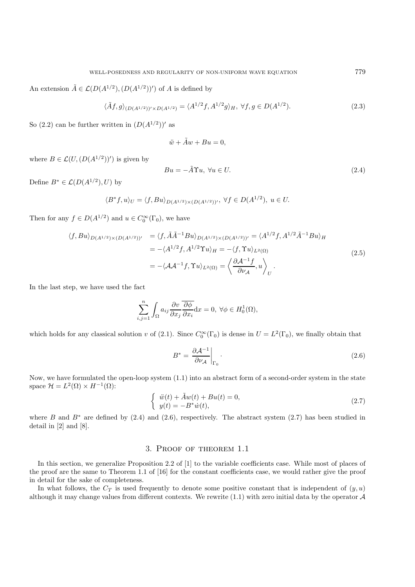An extension  $\tilde{A} \in \mathcal{L}(D(A^{1/2}), (D(A^{1/2}))')$  of A is defined by

$$
\langle \tilde{A}f, g \rangle_{(D(A^{1/2}))' \times D(A^{1/2})} = \langle A^{1/2}f, A^{1/2}g \rangle_H, \ \forall f, g \in D(A^{1/2}).
$$
\n(2.3)

So (2.2) can be further written in  $(D(A^{1/2}))'$  as

$$
\ddot{w} + \tilde{A}w + Bu = 0,
$$

where  $B \in \mathcal{L}(U, (D(A^{1/2}))')$  is given by

$$
Bu = -\tilde{A}\Upsilon u, \ \forall u \in U. \tag{2.4}
$$

Define  $B^* \in \mathcal{L}(D(A^{1/2}), U)$  by

$$
\langle B^* f, u \rangle_U = \langle f, B u \rangle_{D(A^{1/2}) \times (D(A^{1/2}))'}, \ \forall f \in D(A^{1/2}), \ u \in U.
$$

Then for any  $f \in D(A^{1/2})$  and  $u \in C_0^{\infty}(\Gamma_0)$ , we have

$$
\langle f, Bu \rangle_{D(A^{1/2}) \times (D(A^{1/2}))'} = \langle f, \tilde{A}\tilde{A}^{-1}Bu \rangle_{D(A^{1/2}) \times (D(A^{1/2}))'} = \langle A^{1/2}f, A^{1/2}\tilde{A}^{-1}Bu \rangle_H
$$
  

$$
= -\langle A^{1/2}f, A^{1/2} \Upsilon u \rangle_H = -\langle f, \Upsilon u \rangle_{L^2(\Omega)}
$$
  

$$
= -\langle \mathcal{A}\mathcal{A}^{-1}f, \Upsilon u \rangle_{L^2(\Omega)} = \left\langle \frac{\partial \mathcal{A}^{-1}f}{\partial \nu_{\mathcal{A}}}, u \right\rangle_U.
$$
 (2.5)

In the last step, we have used the fact

$$
\sum_{i,j=1}^{n} \int_{\Omega} a_{ij} \frac{\partial v}{\partial x_j} \overline{\frac{\partial \phi}{\partial x_i}} dx = 0, \ \forall \phi \in H_0^1(\Omega),
$$

which holds for any classical solution v of (2.1). Since  $C_0^{\infty}(\Gamma_0)$  is dense in  $U = L^2(\Gamma_0)$ , we finally obtain that

$$
B^* = \left. \frac{\partial \mathcal{A}^{-1}}{\partial \nu_{\mathcal{A}}} \right|_{\Gamma_0} . \tag{2.6}
$$

Now, we have formulated the open-loop system (1.1) into an abstract form of a second-order system in the state space  $\mathcal{H} = L^2(\Omega) \times H^{-1}(\Omega)$ :

$$
\begin{cases} \ddot{w}(t) + \tilde{A}w(t) + Bu(t) = 0, \\ y(t) = -B^* \dot{w}(t), \end{cases}
$$
\n(2.7)

where B and  $B^*$  are defined by (2.4) and (2.6), respectively. The abstract system (2.7) has been studied in detail in [2] and [8].

## 3. Proof of theorem 1.1

In this section, we generalize Proposition 2.2 of [1] to the variable coefficients case. While most of places of the proof are the same to Theorem 1.1 of [16] for the constant coefficients case, we would rather give the proof in detail for the sake of completeness.

In what follows, the  $C_T$  is used frequently to denote some positive constant that is independent of  $(y, u)$ although it may change values from different contexts. We rewrite  $(1.1)$  with zero initial data by the operator  $\mathcal A$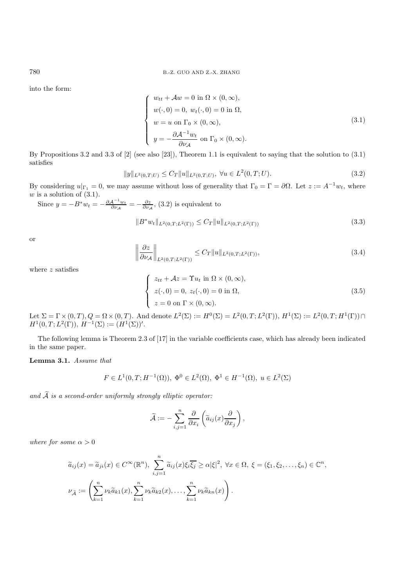into the form:

$$
\begin{cases}\nw_{tt} + \mathcal{A}w = 0 \text{ in } \Omega \times (0, \infty), \\
w(\cdot, 0) = 0, w_t(\cdot, 0) = 0 \text{ in } \Omega, \\
w = u \text{ on } \Gamma_0 \times (0, \infty), \\
y = -\frac{\partial \mathcal{A}^{-1}w_t}{\partial \nu_\mathcal{A}} \text{ on } \Gamma_0 \times (0, \infty).\n\end{cases}
$$
\n(3.1)

 $\mathcal{O}_{\mathcal{A}}$ <br>By Propositions 3.2 and 3.3 of [2] (see also [23]), Theorem 1.1 is equivalent to saying that the solution to (3.1) satisfies

$$
||y||_{L^{2}(0,T;U)} \leq C_{T}||u||_{L^{2}(0,T;U)}, \ \forall u \in L^{2}(0,T;U).
$$
\n(3.2)

By considering  $u|_{\Gamma_1} = 0$ , we may assume without loss of generality that  $\Gamma_0 = \Gamma = \partial \Omega$ . Let  $z := A^{-1}w_t$ , where  $w$  is a solution of  $(3.1)$ .

Since 
$$
y = -B^* w_t = -\frac{\partial A^{-1} w_t}{\partial \nu_A} = -\frac{\partial z}{\partial \nu_A}
$$
, (3.2) is equivalent to  
\n
$$
||B^* w_t||_{L^2(0,T;L^2(\Gamma))} \leq C_T ||u||_{L^2(0,T;L^2(\Gamma))}
$$
\n(3.3)

or

$$
\left\| \frac{\partial z}{\partial \nu_{\mathcal{A}}} \right\|_{L^2(0,T;L^2(\Gamma))} \le C_T \|u\|_{L^2(0,T;L^2(\Gamma))},\tag{3.4}
$$

where  $z$  satisfies

$$
\begin{cases}\n z_{tt} + Az = \Upsilon u_t \text{ in } \Omega \times (0, \infty), \\
 z(\cdot, 0) = 0, \ z_t(\cdot, 0) = 0 \text{ in } \Omega, \\
 z = 0 \text{ on } \Gamma \times (0, \infty).\n\end{cases}
$$
\n(3.5)

Let  $\Sigma = \Gamma \times (0, T)$ ,  $Q = \Omega \times (0, T)$ . And denote  $L^2(\Sigma) := H^0(\Sigma) = L^2(0, T; L^2(\Gamma))$ ,  $H^1(\Sigma) := L^2(0, T; H^1(\Gamma)) \cap H^1(0, T; L^2(\Gamma))$ ,  $H^{-1}(\Sigma) := (H^1(\Sigma))^t$  $H^1(0,T;L^2(\Gamma)), H^{-1}(\Sigma) := (H^1(\Sigma))'.$ 

The following lemma is Theorem 2.3 of [17] in the variable coefficients case, which has already been indicated in the same paper.

**Lemma 3.1.** *Assume that*

$$
F \in L^{1}(0, T; H^{-1}(\Omega)), \ \Phi^{0} \in L^{2}(\Omega), \ \Phi^{1} \in H^{-1}(\Omega), \ u \in L^{2}(\Sigma)
$$

*and* <sup>A</sup> *is a second-order uniformly strongly elliptic operator:*

$$
\widetilde{\mathcal{A}} := -\sum_{i,j=1}^n \frac{\partial}{\partial x_i} \left( \widetilde{a}_{ij}(x) \frac{\partial}{\partial x_j} \right),
$$

*where for some*  $\alpha > 0$ 

$$
\widetilde{a}_{ij}(x) = \widetilde{a}_{ji}(x) \in C^{\infty}(\mathbb{R}^n), \sum_{i,j=1}^n \widetilde{a}_{ij}(x)\xi_i\overline{\xi_j} \ge \alpha|\xi|^2, \forall x \in \Omega, \xi = (\xi_1, \xi_2, \dots, \xi_n) \in \mathbb{C}^n,
$$
  

$$
\nu_{\widetilde{\mathcal{A}}} := \left(\sum_{k=1}^n \nu_k \widetilde{a}_{k1}(x), \sum_{k=1}^n \nu_k \widetilde{a}_{k2}(x), \dots, \sum_{k=1}^n \nu_k \widetilde{a}_{kn}(x)\right).
$$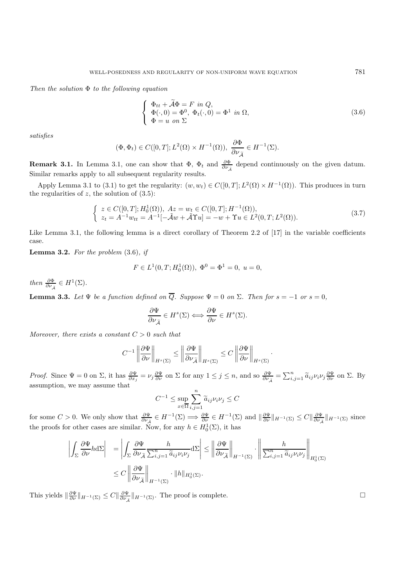*Then the solution* Φ *to the following equation*

$$
\begin{cases}\n\Phi_{tt} + \tilde{\mathcal{A}}\Phi = F \text{ in } Q, \\
\Phi(\cdot, 0) = \Phi^0, \ \Phi_t(\cdot, 0) = \Phi^1 \text{ in } \Omega, \\
\Phi = u \text{ on } \Sigma\n\end{cases}
$$
\n(3.6)

·

*satisfies*

$$
(\Phi, \Phi_t) \in C([0, T]; L^2(\Omega) \times H^{-1}(\Omega)), \frac{\partial \Phi}{\partial \nu_{\widetilde{\mathcal{A}}}} \in H^{-1}(\Sigma).
$$

**Remark 3.1.** In Lemma 3.1, one can show that  $\Phi$ ,  $\Phi_t$  and  $\frac{\partial \Phi}{\partial \nu_{\tilde{\mathcal{A}}}}$  depend continuously on the given datum. Similar remarks apply to all subsequent regularity results.

Apply Lemma 3.1 to (3.1) to get the regularity:  $(w, w_t) \in C([0, T]; L^2(\Omega) \times H^{-1}(\Omega))$ . This produces in turn the regularities of  $z$ , the solution of  $(3.5)$ :

$$
\begin{cases}\n z \in C([0, T]; H_0^1(\Omega)), \ A z = w_t \in C([0, T]; H^{-1}(\Omega)), \\
 z_t = A^{-1} w_{tt} = A^{-1}[-\tilde{\mathcal{A}}w + \tilde{\mathcal{A}}\Upsilon u] = -w + \Upsilon u \in L^2(0, T; L^2(\Omega)).\n\end{cases} (3.7)
$$

Like Lemma 3.1, the following lemma is a direct corollary of Theorem 2.2 of [17] in the variable coefficients case.

**Lemma 3.2.** *For the problem* (3.6)*, if*

$$
F \in L^1(0, T; H_0^1(\Omega)), \ \Phi^0 = \Phi^1 = 0, \ u = 0,
$$

*then*  $\frac{\partial \Phi}{\partial \nu_{\tilde{\mathcal{A}}}} \in H^1(\Sigma)$ *.* 

**Lemma 3.3.** Let  $\Psi$  be a function defined on  $\overline{Q}$ . Suppose  $\Psi = 0$  on  $\Sigma$ . Then for  $s = -1$  or  $s = 0$ ,

$$
\frac{\partial \Psi}{\partial \nu_{\widetilde{\mathcal{A}}}} \in H^s(\Sigma) \Longleftrightarrow \frac{\partial \Psi}{\partial \nu} \in H^s(\Sigma).
$$

*Moreover, there exists a constant*  $C > 0$  *such that* 

$$
C^{-1}\left\|\frac{\partial\Psi}{\partial\nu}\right\|_{H^s(\Sigma)} \le \left\|\frac{\partial\Psi}{\partial\nu_{\widetilde{\mathcal{A}}}}\right\|_{H^s(\Sigma)} \le C\left\|\frac{\partial\Psi}{\partial\nu}\right\|_{H^s(\Sigma)}
$$

*Proof.* Since  $\Psi = 0$  on  $\Sigma$ , it has  $\frac{\partial \Psi}{\partial x_j} = \nu_j \frac{\partial \Psi}{\partial \nu}$  on  $\Sigma$  for any  $1 \leq j \leq n$ , and so  $\frac{\partial \Psi}{\partial \nu_{\tilde{\mathcal{A}}}} = \sum_{i,j=1}^n \tilde{a}_{ij} \nu_i \nu_j \frac{\partial \Psi}{\partial \nu}$  on  $\Sigma$ . By assumption, we may assume that

$$
C^{-1} \le \sup_{x \in \overline{\Omega}} \sum_{i,j=1}^{n} \widetilde{a}_{ij} \nu_i \nu_j \le C
$$

for some  $C > 0$ . We only show that  $\frac{\partial \Psi}{\partial \nu_{\tilde{A}}} \in H^{-1}(\Sigma) \implies \frac{\partial \Psi}{\partial \nu} \in H^{-1}(\Sigma)$  and  $\|\frac{\partial \Psi}{\partial \nu}\|_{H^{-1}(\Sigma)} \leq C \|\frac{\partial \Psi}{\partial \nu_{\tilde{A}}}\|_{H^{-1}(\Sigma)}$  since the proofs for other cases are similar. Now, for any  $h \in H_0^1(\Sigma)$ , it has

$$
\left| \int_{\Sigma} \frac{\partial \Psi}{\partial \nu} h \, d\Sigma \right| = \left| \int_{\Sigma} \frac{\partial \Psi}{\partial \nu_{\widetilde{\mathcal{A}}}} \frac{h}{\sum_{i,j=1}^n \widetilde{a}_{ij} \nu_i \nu_j} \, d\Sigma \right| \leq \left\| \frac{\partial \Psi}{\partial \nu_{\widetilde{\mathcal{A}}}} \right\|_{H^{-1}(\Sigma)} \cdot \left\| \frac{h}{\sum_{i,j=1}^n \widetilde{a}_{ij} \nu_i \nu_j} \right\|_{H_0^1(\Sigma)}
$$

$$
\leq C \left\| \frac{\partial \Psi}{\partial \nu_{\widetilde{\mathcal{A}}}} \right\|_{H^{-1}(\Sigma)} \cdot \|h\|_{H_0^1(\Sigma)}.
$$

This yields  $\|\frac{\partial \Psi}{\partial \nu}\|_{H^{-1}(\Sigma)} \leq C \|\frac{\partial \Psi}{\partial \nu_{\tilde{\mathcal{A}}}}\|_{H^{-1}(\Sigma)}$ . The proof is complete.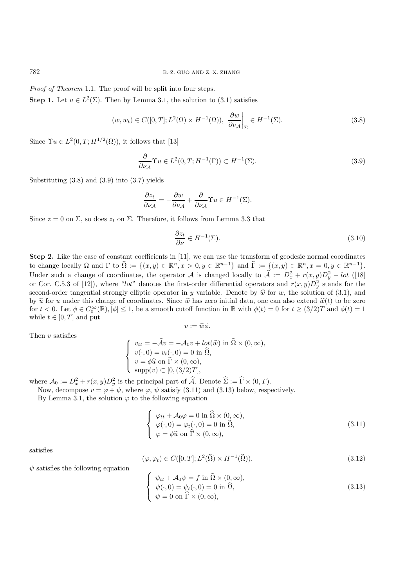*Proof of Theorem* 1.1. The proof will be split into four steps.

**Step 1.** Let  $u \in L^2(\Sigma)$ . Then by Lemma 3.1, the solution to (3.1) satisfies

$$
(w, w_t) \in C([0, T]; L^2(\Omega) \times H^{-1}(\Omega)), \frac{\partial w}{\partial \nu_{\mathcal{A}}}\bigg|_{\Sigma} \in H^{-1}(\Sigma).
$$
\n(3.8)

Since  $\Upsilon u \in L^2(0,T;H^{1/2}(\Omega))$ , it follows that [13]

$$
\frac{\partial}{\partial \nu_{\mathcal{A}}} \Upsilon u \in L^{2}(0, T; H^{-1}(\Gamma)) \subset H^{-1}(\Sigma). \tag{3.9}
$$

Substituting (3.8) and (3.9) into (3.7) yields

$$
\frac{\partial z_t}{\partial \nu_{\mathcal{A}}} = -\frac{\partial w}{\partial \nu_{\mathcal{A}}} + \frac{\partial}{\partial \nu_{\mathcal{A}}} \Upsilon u \in H^{-1}(\Sigma).
$$

Since  $z = 0$  on  $\Sigma$ , so does  $z_t$  on  $\Sigma$ . Therefore, it follows from Lemma 3.3 that

$$
\frac{\partial z_t}{\partial \nu} \in H^{-1}(\Sigma). \tag{3.10}
$$

**Step 2.** Like the case of constant coefficients in [11], we can use the transform of geodesic normal coordinates to change locally  $\Omega$  and  $\Gamma$  to  $\widehat{\Omega} := \{(x, y) \in \mathbb{R}^n, x > 0, y \in \mathbb{R}^{n-1}\}\$  and  $\widehat{\Gamma} := \{(x, y) \in \mathbb{R}^n, x = 0, y \in \mathbb{R}^{n-1}\}\$ .<br>Under such a change of coordinates, the epoptor A is changed locally to  $\widehat{\Lambda} := \Omega^2 + \pi$ Under such a change of coordinates, the operator A is changed locally to  $\hat{\mathcal{A}} := D_x^2 + r(x, y)D_y^2 - lot$  ([18] or Cor. C.5.3 of [12]), where "lot" denotes the first-order differential operators and  $r(x, y)D_y^2$  stands for the<br>second order tangential strongly elliptic operator in u variable. Denote by  $\hat{w}$  for us the solution of second-order tangential strongly elliptic operator in y variable. Denote by  $\hat{w}$  for w, the solution of (3.1), and by  $\hat{u}$  for u under this change of coordinates. Since  $\hat{w}$  has zero initial data, one can also extend  $\hat{w}(t)$  to be zero for  $t < 0$ . Let  $\phi \in C_0^{\infty}(\mathbb{R}), |\phi| \le 1$ , be a smooth cutoff function in  $\mathbb{R}$  with  $\phi(t) = 0$  for  $t \ge (3/2)T$  and  $\phi(t) = 1$ while  $t\in[0,T]$  and put

$$
v:=\widehat{w}\phi.
$$

Then  $v$  satisfies

$$
\begin{cases}\nv_{tt} = -\widehat{A}v = -A_0v + lot(\widehat{w}) \text{ in } \widehat{\Omega} \times (0, \infty), \\
v(\cdot, 0) = v_t(\cdot, 0) = 0 \text{ in } \widehat{\Omega}, \\
v = \phi \widehat{u} \text{ on } \widehat{\Gamma} \times (0, \infty), \\
\text{supp}(v) \subset [0, (3/2)T],\n\end{cases}
$$

where  $\mathcal{A}_0 := D_x^2 + r(x, y)D_y^2$  is the principal part of  $\widehat{\mathcal{A}}$ . Denote  $\widehat{\Sigma} := \widehat{\Gamma} \times (0, T)$ .<br>Now decompose  $y = (x + y)$  where  $(x, y)$  satisfy  $(3, 11)$  and  $(3, 13)$  below resp.

Now, decompose  $v = \varphi + \psi$ , where  $\varphi$ ,  $\psi$  satisfy (3.11) and (3.13) below, respectively.

By Lemma 3.1, the solution  $\varphi$  to the following equation

$$
\begin{cases}\n\varphi_{tt} + \mathcal{A}_0 \varphi = 0 \text{ in } \hat{\Omega} \times (0, \infty), \\
\varphi(\cdot, 0) = \varphi_t(\cdot, 0) = 0 \text{ in } \hat{\Omega}, \\
\varphi = \phi \hat{u} \text{ on } \hat{\Gamma} \times (0, \infty),\n\end{cases}
$$
\n(3.11)

satisfies

$$
(\varphi, \varphi_t) \in C([0, T]; L^2(\widehat{\Omega}) \times H^{-1}(\widehat{\Omega})).
$$
\n(3.12)

 $\psi$  satisfies the following equation

$$
\begin{cases}\n\psi_{tt} + \mathcal{A}_0 \psi = f \text{ in } \hat{\Omega} \times (0, \infty), \\
\psi(\cdot, 0) = \psi_t(\cdot, 0) = 0 \text{ in } \hat{\Omega}, \\
\psi = 0 \text{ on } \hat{\Gamma} \times (0, \infty),\n\end{cases}
$$
\n(3.13)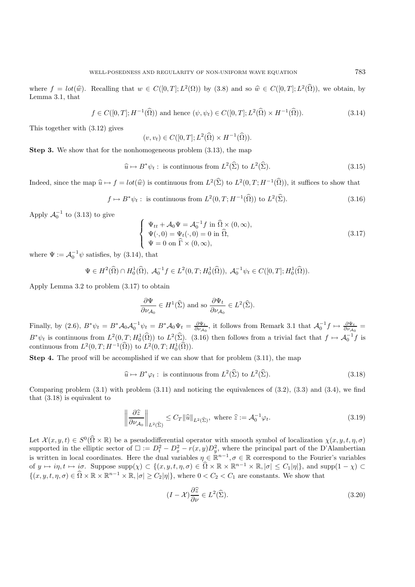where  $f = \text{lot}(\widehat{w})$ . Recalling that  $w \in C([0,T]; L^2(\Omega))$  by  $(3.8)$  and so  $\widehat{w} \in C([0,T]; L^2(\widehat{\Omega}))$ , we obtain, by Lemma 3.1, that

$$
f \in C([0,T]; H^{-1}(\widehat{\Omega})) \text{ and hence } (\psi, \psi_t) \in C([0,T]; L^2(\widehat{\Omega}) \times H^{-1}(\widehat{\Omega})).
$$
\n(3.14)

This together with (3.12) gives

 $(v, v_t) \in C([0, T]; L^2(\widehat{\Omega}) \times H^{-1}(\widehat{\Omega})).$ 

**Step 3.** We show that for the nonhomogeneous problem  $(3.13)$ , the map

$$
\widehat{u} \mapsto B^* \psi_t : \text{ is continuous from } L^2(\widehat{\Sigma}) \text{ to } L^2(\widehat{\Sigma}). \tag{3.15}
$$

Indeed, since the map  $\hat{u} \mapsto f = \text{lot}(\hat{w})$  is continuous from  $L^2(\hat{\Sigma})$  to  $L^2(0,T;H^{-1}(\hat{\Omega}))$ , it suffices to show that

$$
f \mapsto B^* \psi_t : \text{ is continuous from } L^2(0, T; H^{-1}(\widehat{\Omega})) \text{ to } L^2(\widehat{\Sigma}). \tag{3.16}
$$

Apply  $\mathcal{A}_0^{-1}$  to (3.13) to give

$$
\begin{cases}\n\Psi_{tt} + \mathcal{A}_0 \Psi = \mathcal{A}_0^{-1} f \text{ in } \widehat{\Omega} \times (0, \infty), \\
\Psi(\cdot, 0) = \Psi_t(\cdot, 0) = 0 \text{ in } \widehat{\Omega}, \\
\Psi = 0 \text{ on } \widehat{\Gamma} \times (0, \infty),\n\end{cases}
$$
\n(3.17)

where  $\Psi := \mathcal{A}_0^{-1} \psi$  satisfies, by (3.14), that

$$
\Psi \in H^2(\widehat{\Omega}) \cap H_0^1(\widehat{\Omega}), \ \mathcal{A}_0^{-1}f \in L^2(0,T;H_0^1(\widehat{\Omega})), \ \mathcal{A}_0^{-1}\psi_t \in C([0,T];H_0^1(\widehat{\Omega})).
$$

Apply Lemma 3.2 to problem (3.17) to obtain

$$
\frac{\partial \Psi}{\partial \nu_{\mathcal{A}_0}} \in H^1(\widehat{\Sigma}) \text{ and so } \frac{\partial \Psi_t}{\partial \nu_{\mathcal{A}_0}} \in L^2(\widehat{\Sigma}).
$$

Finally, by (2.6),  $B^*\psi_t = B^*\mathcal{A}_0\mathcal{A}_0^{-1}\psi_t = B^*\mathcal{A}_0\Psi_t = \frac{\partial\Psi_t}{\partial\nu_{\mathcal{A}_0}}$ , it follows from Remark 3.1 that  $\mathcal{A}_0^{-1}f \mapsto \frac{\partial\Psi_t}{\partial\nu_{\mathcal{A}_0}}$ =  $B^*\psi_t$  is continuous from  $L^2(0,T; H_0^1(\hat{\Omega}))$  to  $L^2(\hat{\Sigma})$ . (3.16) then follows from a trivial fact that  $f \mapsto \mathcal{A}_0^{-1}f$  is continuous from  $L^2(0,T; H_0^1(\hat{\Omega}))$ continuous from  $L^2(0,T; H^{-1}(\widehat{\Omega}))$  to  $L^2(0,T; H_0^1(\widehat{\Omega})).$ 

**Step 4.** The proof will be accomplished if we can show that for problem  $(3.11)$ , the map

$$
\widehat{u} \mapsto B^* \varphi_t : \text{ is continuous from } L^2(\widehat{\Sigma}) \text{ to } L^2(\widehat{\Sigma}). \tag{3.18}
$$

Comparing problem  $(3.1)$  with problem  $(3.11)$  and noticing the equivalences of  $(3.2)$ ,  $(3.3)$  and  $(3.4)$ , we find that (3.18) is equivalent to

$$
\left\|\frac{\partial \hat{z}}{\partial \nu_{\mathcal{A}_0}}\right\|_{L^2(\hat{\Sigma})} \le C_T \|\hat{u}\|_{L^2(\hat{\Sigma})}, \text{ where } \hat{z} := \mathcal{A}_0^{-1} \varphi_t. \tag{3.19}
$$

Let  $\mathcal{X}(x, y, t) \in S^0(\hat{\Omega} \times \mathbb{R})$  be a pseudodifferential operator with smooth symbol of localization  $\chi(x, y, t, \eta, \sigma)$ <br>supported in the elliptic sector of  $\square \coloneq D^2 - D^2 = r(x, y)D^2$  where the principal part of the D'Alam supported in the elliptic sector of  $\Box := D_t^2 - D_x^2 - r(x, y)D_y^2$ , where the principal part of the D'Alambertian<br>is written in local coordinates. Here the dual wrighten  $\subset \mathbb{R}^{n-1}$ ,  $\subset \mathbb{R}$  correspond to the Fourier's u is written in local coordinates. Here the dual variables  $\eta \in \mathbb{R}^{n-1}$ ,  $\sigma \in \mathbb{R}$  correspond to the Fourier's variables of  $u \mapsto in \ t \mapsto in \ t \mapsto \sigma$ . Suppose  $\text{supp}(\chi) \subset \{(x, u, t, n, \sigma) \in \widehat{\Omega} \times \mathbb{R} \times \mathbb{R}^{n-1} \times \mathbb{R$ of  $y \mapsto i\eta, t \mapsto i\sigma$ . Suppose  $\text{supp}(\chi) \subset \{(x, y, t, \eta, \sigma) \in \widehat{\Omega} \times \mathbb{R} \times \mathbb{R}^{n-1} \times \mathbb{R}, |\sigma| \leq C_1 |\eta| \}$ , and  $\text{supp}(1 - \chi) \subset$  $\{(x, y, t, \eta, \sigma) \in \widehat{\Omega} \times \mathbb{R} \times \mathbb{R}^{n-1} \times \mathbb{R}, |\sigma| \ge C_2 |\eta| \},\$  where  $0 < C_2 < C_1$  are constants. We show that

$$
(I - \mathcal{X})\frac{\partial \hat{z}}{\partial \nu} \in L^2(\hat{\Sigma}).\tag{3.20}
$$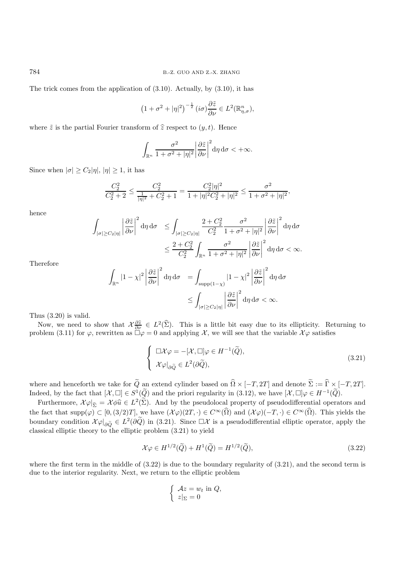The trick comes from the application of  $(3.10)$ . Actually, by  $(3.10)$ , it has

$$
\left(1+\sigma^2+|\eta|^2\right)^{-\frac{1}{2}}(i\sigma)\frac{\partial \tilde{z}}{\partial \nu}\in L^2(\mathbb{R}^n_{\eta,\sigma}),
$$

where  $\tilde{z}$  is the partial Fourier transform of  $\hat{z}$  respect to  $(y, t)$ . Hence

$$
\int_{\mathbb{R}^n} \frac{\sigma^2}{1 + \sigma^2 + |\eta|^2} \left| \frac{\partial \tilde{z}}{\partial \nu} \right|^2 d\eta d\sigma < +\infty.
$$

Since when  $|\sigma| \ge C_2 |\eta|, |\eta| \ge 1$ , it has

$$
\frac{C_2^2}{C_2^2+2} \leq \frac{C_2^2}{\frac{1}{|\eta|^2}+C_2^2+1} = \frac{C_2^2|\eta|^2}{1+|\eta|^2C_2^2+|\eta|^2} \leq \frac{\sigma^2}{1+\sigma^2+|\eta|^2},
$$

hence

$$
\int_{|\sigma| \ge C_2 |\eta|} \left| \frac{\partial \tilde{z}}{\partial \nu} \right|^2 d\eta d\sigma \le \int_{|\sigma| \ge C_2 |\eta|} \frac{2 + C_2^2}{C_2^2} \frac{\sigma^2}{1 + \sigma^2 + |\eta|^2} \left| \frac{\partial \tilde{z}}{\partial \nu} \right|^2 d\eta d\sigma
$$
  

$$
\le \frac{2 + C_2^2}{C_2^2} \int_{\mathbb{R}^n} \frac{\sigma^2}{1 + \sigma^2 + |\eta|^2} \left| \frac{\partial \tilde{z}}{\partial \nu} \right|^2 d\eta d\sigma < \infty.
$$

Therefore

$$
\int_{\mathbb{R}^n} |1 - \chi|^2 \left| \frac{\partial \tilde{z}}{\partial \nu} \right|^2 d\eta d\sigma = \int_{\text{supp}(1 - \chi)} |1 - \chi|^2 \left| \frac{\partial \tilde{z}}{\partial \nu} \right|^2 d\eta d\sigma
$$

$$
\leq \int_{|\sigma| \geq C_2 |\eta|} \left| \frac{\partial \tilde{z}}{\partial \nu} \right|^2 d\eta d\sigma < \infty.
$$

Thus (3.20) is valid.

Now, we need to show that  $\mathcal{X}^{\partial \hat{z}}_{\partial \nu} \in L^2(\hat{\Sigma})$ . This is a little bit easy due to its ellipticity. Returning to show (3.11) for  $\varphi$  rewritten as  $\Box \varphi = 0$  and applying  $\mathcal{X}$  we will see that the variable problem (3.11) for  $\varphi$ , rewritten as  $\Box \varphi = 0$  and applying X, we will see that the variable  $\mathcal{X}\varphi$  satisfies

$$
\begin{cases} \Box \mathcal{X} \varphi = -[\mathcal{X}, \Box] \varphi \in H^{-1}(\widetilde{Q}), \\ \mathcal{X} \varphi|_{\partial \widetilde{Q}} \in L^2(\partial \widetilde{Q}), \end{cases} \tag{3.21}
$$

where and henceforth we take for  $\widetilde{Q}$  an extend cylinder based on  $\widehat{\Omega} \times [-T, 2T]$  and denote  $\widetilde{\Sigma} := \widehat{\Gamma} \times [-T, 2T]$ . Indeed, by the fact that  $[\mathcal{X}, \Box] \in S^1(\widetilde{Q})$  and the priori regularity in  $(3.12)$ , we have  $[\mathcal{X}, \Box] \varphi \in H^{-1}(\widetilde{Q})$ .

Furthermore,  $\mathcal{X}\varphi|_{\tilde{\Sigma}} = \mathcal{X}\phi\hat{u} \in L^2(\tilde{\Sigma})$ . And by the pseudolocal property of pseudodifferential operators and the fact that  $\text{supp}(\varphi) \subset [0,(3/2)T]$ , we have  $(\mathcal{X}\varphi)(2T,\cdot) \in C^{\infty}(\widehat{\Omega})$  and  $(\mathcal{X}\varphi)(-T,\cdot) \in C^{\infty}(\widehat{\Omega})$ . This yields the boundary condition  $\mathcal{X}\varphi|_{\partial \tilde{Q}} \in L^2(\partial \tilde{Q})$  in (3.21). Since  $\Box \mathcal{X}$  is a pseudodifferential elliptic operator, apply the classical elliptic theory to the elliptic problem (3.21) to viold classical elliptic theory to the elliptic problem (3.21) to yield

$$
\mathcal{X}\varphi \in H^{1/2}(\widetilde{Q}) + H^1(\widetilde{Q}) = H^{1/2}(\widetilde{Q}),\tag{3.22}
$$

where the first term in the middle of  $(3.22)$  is due to the boundary regularity of  $(3.21)$ , and the second term is due to the interior regularity. Next, we return to the elliptic problem

$$
\begin{cases}\n\mathcal{A}z = w_t \text{ in } Q, \\
z|_{\Sigma} = 0\n\end{cases}
$$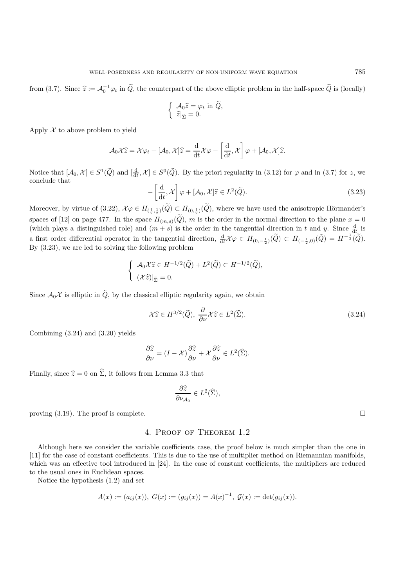from (3.7). Since  $\hat{z} := \mathcal{A}_0^{-1} \varphi_t$  in  $\tilde{Q}$ , the counterpart of the above elliptic problem in the half-space  $\tilde{Q}$  is (locally)

$$
\begin{cases} \mathcal{A}_0 \hat{z} = \varphi_t \text{ in } \widetilde{Q}, \\ \hat{z}|_{\widetilde{\Sigma}} = 0. \end{cases}
$$

Apply  $X$  to above problem to yield

$$
\mathcal{A}_0\mathcal{X}\widehat{z} = \mathcal{X}\varphi_t + [\mathcal{A}_0,\mathcal{X}]\widehat{z} = \frac{\mathrm{d}}{\mathrm{d}t}\mathcal{X}\varphi - \left[\frac{\mathrm{d}}{\mathrm{d}t},\mathcal{X}\right]\varphi + [\mathcal{A}_0,\mathcal{X}]\widehat{z}.
$$

Notice that  $[A_0, \mathcal{X}] \in S^1(\widetilde{Q})$  and  $[\frac{d}{dt}, \mathcal{X}] \in S^0(\widetilde{Q})$ . By the priori regularity in (3.12) for  $\varphi$  and in (3.7) for z, we conclude that conclude that

$$
-\left[\frac{\mathrm{d}}{\mathrm{d}t}, \mathcal{X}\right] \varphi + [\mathcal{A}_0, \mathcal{X}] \widehat{z} \in L^2(\widetilde{Q}).\tag{3.23}
$$

Moreover, by virtue of  $(3.22)$ ,  $\mathcal{X}\varphi \in H_{(\frac{1}{2},\frac{1}{2})}(Q) \subset H_{(0,\frac{1}{2})}(Q)$ , where we have used the anisotropic Hörmander's spaces of [12] on page 477. In the space  $H_{(m,s)}(\tilde{Q})$ , m is the order in the normal direction to the plane  $x = 0$ (which plays a distinguished role) and  $(m + s)$  is the order in the tangential direction in t and y. Since  $\frac{d}{dt}$  is a first order differential operator in the tangential direction,  $\frac{d}{dt}\mathcal{X}\varphi \in H_{(0,-\frac{1}{2})}(\widetilde{Q}) \subset H_{(-\frac{1}{2},0)}(\widetilde{Q}) = H^{-\frac{1}{2}}(\widetilde{Q}).$ <br>Pre (2.22), we are led to solving the following problem By (3.23), we are led to solving the following problem

$$
\begin{cases}\n\mathcal{A}_0 \mathcal{X} \hat{z} \in H^{-1/2}(\widetilde{Q}) + L^2(\widetilde{Q}) \subset H^{-1/2}(\widetilde{Q}), \\
(\mathcal{X} \hat{z})|_{\widetilde{\Sigma}} = 0.\n\end{cases}
$$

Since  $\mathcal{A}_0\mathcal{X}$  is elliptic in  $\tilde{Q}$ , by the classical elliptic regularity again, we obtain

$$
\mathcal{X}\hat{z} \in H^{3/2}(\tilde{Q}), \ \frac{\partial}{\partial \nu} \mathcal{X}\hat{z} \in L^2(\tilde{\Sigma}).\tag{3.24}
$$

Combining (3.24) and (3.20) yields

$$
\frac{\partial \widehat{z}}{\partial \nu} = (I - \mathcal{X}) \frac{\partial \widehat{z}}{\partial \nu} + \mathcal{X} \frac{\partial \widehat{z}}{\partial \nu} \in L^2(\widehat{\Sigma}).
$$

Finally, since  $\hat{z} = 0$  on  $\hat{\Sigma}$ , it follows from Lemma 3.3 that

$$
\frac{\partial \widehat{z}}{\partial \nu_{\mathcal{A}_0}} \in L^2(\widehat{\Sigma}),
$$

proving  $(3.19)$ . The proof is complete.

# 4. Proof of Theorem 1.2

Although here we consider the variable coefficients case, the proof below is much simpler than the one in [11] for the case of constant coefficients. This is due to the use of multiplier method on Riemannian manifolds, which was an effective tool introduced in [24]. In the case of constant coefficients, the multipliers are reduced to the usual ones in Euclidean spaces.

Notice the hypothesis (1.2) and set

$$
A(x) := (a_{ij}(x)), \ G(x) := (g_{ij}(x)) = A(x)^{-1}, \ G(x) := \det(g_{ij}(x)).
$$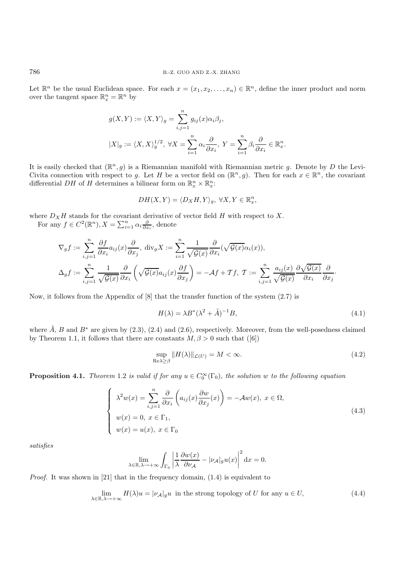Let  $\mathbb{R}^n$  be the usual Euclidean space. For each  $x = (x_1, x_2, \ldots, x_n) \in \mathbb{R}^n$ , define the inner product and norm over the tangent space  $\mathbb{R}_x^n = \mathbb{R}^n$  by

$$
g(X,Y) := \langle X, Y \rangle_g = \sum_{i,j=1}^n g_{ij}(x)\alpha_i\beta_j,
$$
  

$$
|X|_g := \langle X, X \rangle_g^{1/2}, \ \forall X = \sum_{i=1}^n \alpha_i \frac{\partial}{\partial x_i}, \ Y = \sum_{i=1}^n \beta_i \frac{\partial}{\partial x_i} \in \mathbb{R}_x^n.
$$

It is easily checked that  $(\mathbb{R}^n, g)$  is a Riemannian manifold with Riemannian metric g. Denote by D the Levi-Civita connection with respect to g. Let H be a vector field on  $(\mathbb{R}^n, g)$ . Then for each  $x \in \mathbb{R}^n$ , the covariant differential DH of H determines a bilinear form on  $\mathbb{R}^n_x \times \mathbb{R}^n_x$ :

$$
DH(X,Y) = \langle D_X H, Y \rangle_g, \ \forall X, Y \in \mathbb{R}_x^n,
$$

where  $D_XH$  stands for the covariant derivative of vector field H with respect to X.<br>For any  $f \in C^2(\mathbb{R}^n)$ ,  $X = \sum_{i=0}^n a_{i} \cdot \partial_{x_i}$  denote

For any  $f \in C^2(\mathbb{R}^n)$ ,  $X = \sum_{i=1}^n \alpha_i \frac{\partial}{\partial x_i}$ , denote

$$
\nabla_g f := \sum_{i,j=1}^n \frac{\partial f}{\partial x_i} a_{ij}(x) \frac{\partial}{\partial x_j}, \text{ div}_g X := \sum_{i=1}^n \frac{1}{\sqrt{\mathcal{G}(x)}} \frac{\partial}{\partial x_i} (\sqrt{\mathcal{G}(x)} \alpha_i(x)),
$$
  

$$
\Delta_g f := \sum_{i,j=1}^n \frac{1}{\sqrt{\mathcal{G}(x)}} \frac{\partial}{\partial x_i} \left( \sqrt{\mathcal{G}(x)} a_{ij}(x) \frac{\partial f}{\partial x_j} \right) = -\mathcal{A}f + \mathcal{T}f, \ \mathcal{T} := \sum_{i,j=1}^n \frac{a_{ij}(x)}{\sqrt{\mathcal{G}(x)}} \frac{\partial \sqrt{\mathcal{G}(x)}}{\partial x_i} \frac{\partial}{\partial x_j}.
$$

Now, it follows from the Appendix of [8] that the transfer function of the system (2.7) is

$$
H(\lambda) = \lambda B^*(\lambda^2 + \tilde{A})^{-1}B,\tag{4.1}
$$

where  $\hat{A}$ , B and  $B^*$  are given by (2.3), (2.4) and (2.6), respectively. Moreover, from the well-posedness claimed by Theorem 1.1, it follows that there are constants  $M, \beta > 0$  such that ([6])

$$
\sup_{\text{Re}\lambda \ge \beta} \|H(\lambda)\|_{\mathcal{L}(U)} = M < \infty. \tag{4.2}
$$

**Proposition 4.1.** *Theorem* 1.2 *is valid if for any*  $u \in C_0^{\infty}(\Gamma_0)$ , *the solution* w *to the following equation* 

$$
\begin{cases}\n\lambda^2 w(x) = \sum_{i,j=1}^n \frac{\partial}{\partial x_i} \left( a_{ij}(x) \frac{\partial w}{\partial x_j}(x) \right) = -\mathcal{A}w(x), \ x \in \Omega, \\
w(x) = 0, \ x \in \Gamma_1, \\
w(x) = u(x), \ x \in \Gamma_0\n\end{cases}
$$
\n(4.3)

*satisfies*

$$
\lim_{\lambda \in \mathbb{R}, \lambda \to +\infty} \int_{\Gamma_0} \left| \frac{1}{\lambda} \frac{\partial w(x)}{\partial \nu_{\mathcal{A}}} - |\nu_{\mathcal{A}}|_{g} u(x) \right|^{2} dx = 0.
$$

*Proof.* It was shown in [21] that in the frequency domain, (1.4) is equivalent to

$$
\lim_{\lambda \in \mathbb{R}, \lambda \to +\infty} H(\lambda)u = |\nu_{\mathcal{A}}|_{g}u \text{ in the strong topology of } U \text{ for any } u \in U,
$$
\n(4.4)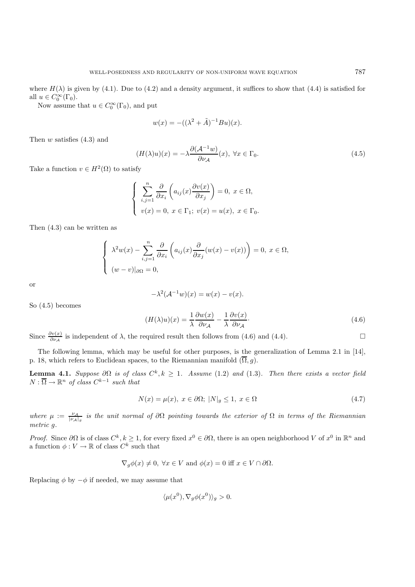where  $H(\lambda)$  is given by (4.1). Due to (4.2) and a density argument, it suffices to show that (4.4) is satisfied for all  $u \in C_0^{\infty}(\Gamma_0)$ .<br>Now assume

Now assume that  $u \in C_0^{\infty}(\Gamma_0)$ , and put

$$
w(x) = -((\lambda^2 + \tilde{A})^{-1}Bu)(x).
$$

Then  $w$  satisfies  $(4.3)$  and

$$
(H(\lambda)u)(x) = -\lambda \frac{\partial (\mathcal{A}^{-1}w)}{\partial \nu_{\mathcal{A}}}(x), \ \forall x \in \Gamma_0.
$$
\n(4.5)

Take a function  $v \in H^2(\Omega)$  to satisfy

$$
\begin{cases}\n\sum_{i,j=1}^{n} \frac{\partial}{\partial x_i} \left( a_{ij}(x) \frac{\partial v(x)}{\partial x_j} \right) = 0, \ x \in \Omega, \\
v(x) = 0, \ x \in \Gamma_1; \ v(x) = u(x), \ x \in \Gamma_0.\n\end{cases}
$$

Then (4.3) can be written as

$$
\begin{cases}\n\lambda^2 w(x) - \sum_{i,j=1}^n \frac{\partial}{\partial x_i} \left( a_{ij}(x) \frac{\partial}{\partial x_j} (w(x) - v(x)) \right) = 0, \ x \in \Omega, \\
(w - v)|_{\partial \Omega} = 0,\n\end{cases}
$$

or

$$
-\lambda^2(\mathcal{A}^{-1}w)(x) = w(x) - v(x).
$$

So (4.5) becomes

$$
(H(\lambda)u)(x) = \frac{1}{\lambda} \frac{\partial w(x)}{\partial \nu_{\mathcal{A}}} - \frac{1}{\lambda} \frac{\partial v(x)}{\partial \nu_{\mathcal{A}}}.
$$
\n(4.6)

Since  $\frac{\partial v(x)}{\partial \nu_A}$  is independent of  $\lambda$ , the required result then follows from (4.6) and (4.4).

The following lemma, which may be useful for other purposes, is the generalization of Lemma 2.1 in [14], p. 18, which refers to Euclidean spaces, to the Riemannian manifold  $(\overline{\Omega}, g)$ .

**Lemma 4.1.** *Suppose*  $\partial\Omega$  *is of class*  $C^k$ ,  $k \geq 1$ *. Assume* (1.2) *and* (1.3)*. Then there exists a vector field*  $N : \overline{\Omega} \to \mathbb{R}^n$  *of class*  $C^{k-1}$  *such that* 

$$
N(x) = \mu(x), \ x \in \partial\Omega; \ |N|_g \le 1, \ x \in \Omega \tag{4.7}
$$

*where*  $\mu := \frac{\nu_A}{|\nu_A|_g}$  *is the unit normal of*  $\partial\Omega$  *pointing towards the exterior of*  $\Omega$  *in terms of the Riemannian metric* g*.*

*Proof.* Since  $\partial\Omega$  is of class  $C^k, k \ge 1$ , for every fixed  $x^0 \in \partial\Omega$ , there is an open neighborhood V of  $x^0$  in  $\mathbb{R}^n$  and a function  $\phi: V \to \mathbb{R}$  of class  $C^k$  such that a function  $\phi: V \to \mathbb{R}$  of class  $C^k$  such that

$$
\nabla_g \phi(x) \neq 0, \ \forall x \in V \text{ and } \phi(x) = 0 \text{ iff } x \in V \cap \partial \Omega.
$$

Replacing  $\phi$  by  $-\phi$  if needed, we may assume that

$$
\langle \mu(x^0), \nabla_g \phi(x^0) \rangle_g > 0.
$$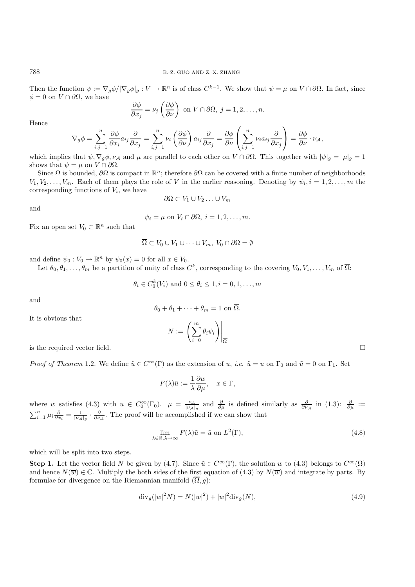Then the function  $\psi := \nabla_q \phi / |\nabla_q \phi|_q : V \to \mathbb{R}^n$  is of class  $C^{k-1}$ . We show that  $\psi = \mu$  on  $V \cap \partial \Omega$ . In fact, since  $\phi = 0$  on  $V \cap \partial \Omega$ , we have

$$
\frac{\partial \phi}{\partial x_j} = \nu_j \left( \frac{\partial \phi}{\partial \nu} \right) \text{ on } V \cap \partial \Omega, j = 1, 2, \dots, n.
$$

Hence

$$
\nabla_g \phi = \sum_{i,j=1}^n \frac{\partial \phi}{\partial x_i} a_{ij} \frac{\partial}{\partial x_j} = \sum_{i,j=1}^n \nu_i \left( \frac{\partial \phi}{\partial \nu} \right) a_{ij} \frac{\partial}{\partial x_j} = \frac{\partial \phi}{\partial \nu} \left( \sum_{i,j=1}^n \nu_i a_{ij} \frac{\partial}{\partial x_j} \right) = \frac{\partial \phi}{\partial \nu} \cdot \nu_{\mathcal{A}},
$$

which implies that  $\psi$ ,  $\nabla_g \phi$ ,  $\nu_A$  and  $\mu$  are parallel to each other on  $V \cap \partial \Omega$ . This together with  $|\psi|_g = |\mu|_g = 1$ shows that  $\psi = \mu$  on  $V \cap \partial \Omega$ .

Since  $\Omega$  is bounded,  $\partial\Omega$  is compact in  $\mathbb{R}^n$ ; therefore  $\partial\Omega$  can be covered with a finite number of neighborhoods  $V_1, V_2, \ldots, V_m$ . Each of them plays the role of V in the earlier reasoning. Denoting by  $\psi_i, i = 1, 2, \ldots, m$  the corresponding functions of  $V_i$ , we have

$$
\partial\Omega \subset V_1 \cup V_2 \ldots \cup V_m
$$

and

$$
\psi_i = \mu \text{ on } V_i \cap \partial \Omega, \ i = 1, 2, \dots, m.
$$

Fix an open set  $V_0 \subset \mathbb{R}^n$  such that

$$
\overline{\Omega} \subset V_0 \cup V_1 \cup \cdots \cup V_m, \ V_0 \cap \partial \Omega = \emptyset
$$

and define  $\psi_0 : V_0 \to \mathbb{R}^n$  by  $\psi_0(x) = 0$  for all  $x \in V_0$ .

Let  $\theta_0, \theta_1, \ldots, \theta_m$  be a partition of unity of class  $C^k$ , corresponding to the covering  $V_0, V_1, \ldots, V_m$  of  $\overline{\Omega}$ :

$$
\theta_i \in C_0^k(V_i)
$$
 and  $0 \leq \theta_i \leq 1, i = 0, 1, \ldots, m$ 

and

$$
\theta_0 + \theta_1 + \cdots + \theta_m = 1 \text{ on } \overline{\Omega}.
$$

It is obvious that

$$
N:=\left.\left(\sum_{i=0}^m\theta_i\psi_i\right)\right|_{\overline{\Omega}}
$$

is the required vector field.  $\Box$ 

*Proof of Theorem* 1.2. We define  $\tilde{u} \in C^{\infty}(\Gamma)$  as the extension of u, *i.e.*  $\tilde{u} = u$  on  $\Gamma_0$  and  $\tilde{u} = 0$  on  $\Gamma_1$ . Set

$$
F(\lambda)\tilde{u} := \frac{1}{\lambda} \frac{\partial w}{\partial \mu}, \quad x \in \Gamma,
$$

where w satisfies (4.3) with  $u \in C_0^{\infty}(\Gamma_0)$ .  $\mu = \frac{\nu_A}{|\nu_A|_g}$  and  $\frac{\partial}{\partial \mu}$  is defined similarly as  $\frac{\partial}{\partial \nu_A}$  in (1.3):  $\frac{\partial}{\partial \mu} := \sum_{i=1}^n \mu_i \frac{\partial}{\partial x_i} = \frac{1}{|\nu_A|_g} \cdot \frac{\partial}{\partial \nu_A}$ . The proof will be accompl

$$
\lim_{\lambda \in \mathbb{R}, \lambda \to \infty} F(\lambda) \tilde{u} = \tilde{u} \text{ on } L^2(\Gamma), \tag{4.8}
$$

which will be split into two steps.

**Step 1.** Let the vector field N be given by (4.7). Since  $\tilde{u} \in C^{\infty}(\Gamma)$ , the solution w to (4.3) belongs to  $C^{\infty}(\Omega)$ and hence  $N(\overline{w}) \in \mathbb{C}$ . Multiply the both sides of the first equation of (4.3) by  $N(\overline{w})$  and integrate by parts. By formulae for divergence on the Riemannian manifold  $(\overline{\Omega}, g)$ :

$$
\text{div}_g(|w|^2 N) = N(|w|^2) + |w|^2 \text{div}_g(N),\tag{4.9}
$$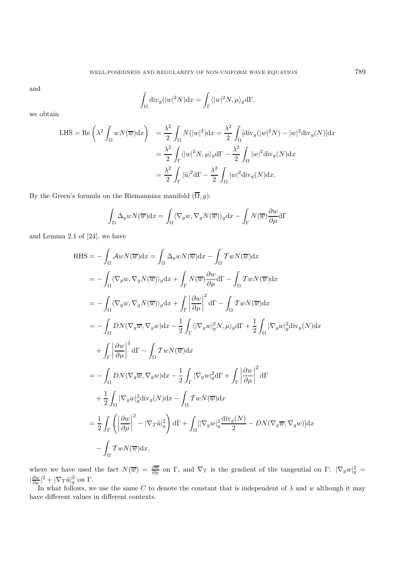and

$$
\int_{\Omega} \mathrm{div}_g(|w|^2 N) \mathrm{d}x = \int_{\Gamma} \langle |w|^2 N, \mu \rangle_g \mathrm{d}\Gamma,
$$

we obtain

LHS = Re
$$
\left(\lambda^2 \int_{\Omega} wN(\overline{w})dx\right)
$$
 =  $\frac{\lambda^2}{2} \int_{\Omega} N(|w|^2)dx = \frac{\lambda^2}{2} \int_{\Omega} [\text{div}_g(|w|^2N) - |w|^2 \text{div}_g(N)]dx$   
 =  $\frac{\lambda^2}{2} \int_{\Gamma} \langle |w|^2N, \mu \rangle_g d\Gamma - \frac{\lambda^2}{2} \int_{\Omega} |w|^2 \text{div}_g(N)dx$   
 =  $\frac{\lambda^2}{2} \int_{\Gamma} |\tilde{u}|^2 d\Gamma - \frac{\lambda^2}{2} \int_{\Omega} |w|^2 \text{div}_g(N)dx.$ 

By the Green's formula on the Riemannian manifold  $(\overline{\Omega}, g)$ :

$$
\int_{\Omega} \Delta_g w N(\overline{w}) dx = \int_{\Omega} \langle \nabla_g w, \nabla_g N(\overline{w}) \rangle_g dx - \int_{\Gamma} N(\overline{w}) \frac{\partial w}{\partial \mu} d\Gamma
$$

and Lemma 2.1 of [24], we have

RHS = 
$$
-\int_{\Omega} A w N(\overline{w}) dx = \int_{\Omega} \Delta_g w N(\overline{w}) dx - \int_{\Omega} T w N(\overline{w}) dx
$$
  
\n $= -\int_{\Omega} \langle \nabla_g w, \nabla_g N(\overline{w}) \rangle_g dx + \int_{\Gamma} N(\overline{w}) \frac{\partial w}{\partial \mu} d\Gamma - \int_{\Omega} T w N(\overline{w}) dx$   
\n $= -\int_{\Omega} \langle \nabla_g w, \nabla_g N(\overline{w}) \rangle_g dx + \int_{\Gamma} \left| \frac{\partial w}{\partial \mu} \right|^2 d\Gamma - \int_{\Omega} T w N(\overline{w}) dx$   
\n $= -\int_{\Omega} DN(\nabla_g \overline{w}, \nabla_g w) dx - \frac{1}{2} \int_{\Gamma} \langle |\nabla_g w|_g^2 N, \mu \rangle_g d\Gamma + \frac{1}{2} \int_{\Omega} |\nabla_g w|_g^2 \text{div}_g(N) dx$   
\n $+ \int_{\Gamma} \left| \frac{\partial w}{\partial \mu} \right|^2 d\Gamma - \int_{\Omega} T w N(\overline{w}) dx$   
\n $= -\int_{\Omega} DN(\nabla_g \overline{w}, \nabla_g w) dx - \frac{1}{2} \int_{\Gamma} |\nabla_g w|_g^2 d\Gamma + \int_{\Gamma} \left| \frac{\partial w}{\partial \mu} \right|^2 d\Gamma$   
\n $+ \frac{1}{2} \int_{\Omega} |\nabla_g w|_g^2 \text{div}_g(N) dx - \int_{\Omega} T w N(\overline{w}) dx$   
\n $= \frac{1}{2} \int_{\Gamma} \left( \left| \frac{\partial w}{\partial \mu} \right|^2 - |\nabla_T \tilde{u}|_g^2 \right) d\Gamma + \int_{\Omega} [|\nabla_g w|_g^2 \frac{\text{div}_g(N)}{2} - DN(\nabla_g \overline{w}, \nabla_g w)] dx$   
\n $- \int_{\Omega} T w N(\overline{w}) dx,$ 

where we have used the fact  $N(\overline{w}) = \frac{\partial \overline{w}}{\partial \mu}$  on  $\Gamma$ , and  $\nabla_T$  is the gradient of the tangential on  $\Gamma: |\nabla_g w|_g^2 = |\frac{\partial w}{\partial \mu}|^2 + |\nabla_T \tilde{u}|_g^2$  on  $\Gamma$ .<br>In what follows, we use the same  $C$  to denote the con

In what follows, we use the same C to denote the constant that is independent of  $\lambda$  and w although it may different values in different contexts have different values in different contexts.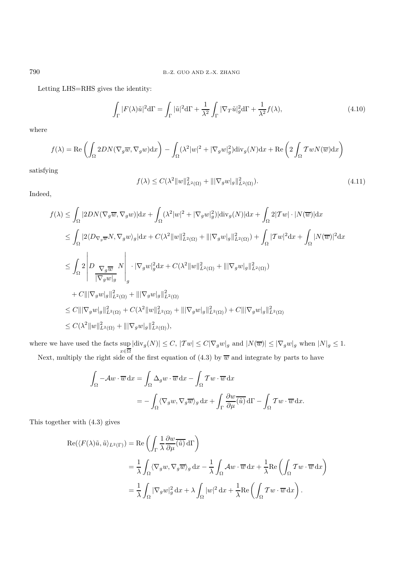Letting LHS=RHS gives the identity:

$$
\int_{\Gamma} |F(\lambda)\tilde{u}|^2 d\Gamma = \int_{\Gamma} |\tilde{u}|^2 d\Gamma + \frac{1}{\lambda^2} \int_{\Gamma} |\nabla_T \tilde{u}|_g^2 d\Gamma + \frac{1}{\lambda^2} f(\lambda),\tag{4.10}
$$

where

$$
f(\lambda) = \text{Re}\left(\int_{\Omega} 2DN(\nabla_g \overline{w}, \nabla_g w) dx\right) - \int_{\Omega} (\lambda^2 |w|^2 + |\nabla_g w|_g^2) \text{div}_g(N) dx + \text{Re}\left(2 \int_{\Omega} \mathcal{T} w N(\overline{w}) dx\right)
$$

satisfying

$$
f(\lambda) \le C(\lambda^2 \|w\|_{L^2(\Omega)}^2 + \|\nabla_g w|_{g}\|_{L^2(\Omega)}^2). \tag{4.11}
$$

Indeed,

$$
f(\lambda) \leq \int_{\Omega} |2DN(\nabla_g \overline{w}, \nabla_g w)| dx + \int_{\Omega} (\lambda^2 |w|^2 + |\nabla_g w|_g^2) |\text{div}_g(N)| dx + \int_{\Omega} 2|\mathcal{T}w| \cdot |N(\overline{w})| dx
$$
  
\n
$$
\leq \int_{\Omega} |2\langle D_{\nabla_g \overline{w}} N, \nabla_g w \rangle_g |dx + C(\lambda^2 \|w\|_{L^2(\Omega)}^2 + |||\nabla_g w|_g||_{L^2(\Omega)}^2) + \int_{\Omega} |\mathcal{T}w|^2 dx + \int_{\Omega} |N(\overline{w})|^2 dx
$$
  
\n
$$
\leq \int_{\Omega} 2 \left| D \frac{\nabla_g \overline{w}}{|\nabla_g w|_g} N \right| \cdot |\nabla_g w|_g^2 dx + C(\lambda^2 \|w\|_{L^2(\Omega)}^2 + |||\nabla_g w|_g||_{L^2(\Omega)}^2)
$$
  
\n
$$
+ C|||\nabla_g w|_g||_{L^2(\Omega)}^2 + |||\nabla_g w|_g||_{L^2(\Omega)}^2 + |||\nabla_g w|_g||_{L^2(\Omega)}^2 + C(\lambda^2 \|w\|_{L^2(\Omega)}^2 + |||\nabla_g w|_g||_{L^2(\Omega)}^2) + C|||\nabla_g w|_g||_{L^2(\Omega)}^2
$$
  
\n
$$
\leq C(\lambda^2 \|w\|_{L^2(\Omega)}^2 + |||\nabla_g w|_g||_{L^2(\Omega)}^2),
$$

where we have used the facts sup  $\sup_{x \in \overline{\Omega}} |div_g(N)| \leq C, |\mathcal{T}w| \leq C|\nabla_g w|_g$  and  $|N(\overline{w})| \leq |\nabla_g w|_g$  when  $|N|_g \leq 1$ . Next, multiply the right side of the first equation of (4.3) by  $\overline{w}$  and integrate by parts to have

$$
\int_{\Omega} -\mathcal{A}w \cdot \overline{w} \,dx = \int_{\Omega} \Delta_g w \cdot \overline{w} \,dx - \int_{\Omega} \mathcal{T}w \cdot \overline{w} \,dx
$$

$$
= -\int_{\Omega} \langle \nabla_g w, \nabla_g \overline{w} \rangle_g \,dx + \int_{\Gamma} \frac{\partial w}{\partial \mu} (\overline{\hat{u}}) \,d\Gamma - \int_{\Omega} \mathcal{T}w \cdot \overline{w} \,dx.
$$

This together with (4.3) gives

$$
\begin{split} \operatorname{Re}(\langle F(\lambda)\tilde{u},\tilde{u}\rangle_{L^{2}(\Gamma)}) &= \operatorname{Re}\left(\int_{\Gamma} \frac{1}{\lambda} \frac{\partial w}{\partial \mu}(\tilde{u}) \, d\Gamma\right) \\ &= \frac{1}{\lambda} \int_{\Omega} \langle \nabla_{g} w, \nabla_{g} \overline{w} \rangle_{g} \, dx - \frac{1}{\lambda} \int_{\Omega} A w \cdot \overline{w} \, dx + \frac{1}{\lambda} \operatorname{Re}\left(\int_{\Omega} \mathcal{T} w \cdot \overline{w} \, dx\right) \\ &= \frac{1}{\lambda} \int_{\Omega} |\nabla_{g} w|_{g}^{2} \, dx + \lambda \int_{\Omega} |w|^{2} \, dx + \frac{1}{\lambda} \operatorname{Re}\left(\int_{\Omega} \mathcal{T} w \cdot \overline{w} \, dx\right). \end{split}
$$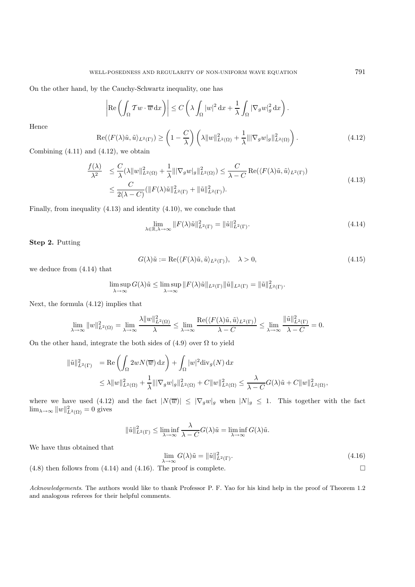On the other hand, by the Cauchy-Schwartz inequality, one has

$$
\left| \operatorname{Re} \left( \int_{\Omega} T w \cdot \overline{w} \, dx \right) \right| \le C \left( \lambda \int_{\Omega} |w|^2 \, dx + \frac{1}{\lambda} \int_{\Omega} |\nabla_g w|_g^2 \, dx \right).
$$

Hence

$$
\operatorname{Re}(\langle F(\lambda)\tilde{u},\tilde{u}\rangle_{L^{2}(\Gamma)})\geq \left(1-\frac{C}{\lambda}\right)\left(\lambda\|w\|_{L^{2}(\Omega)}^{2}+\frac{1}{\lambda}\||\nabla_{g}w|_{g}\|_{L^{2}(\Omega)}^{2}\right).
$$
\n(4.12)

Combining  $(4.11)$  and  $(4.12)$ , we obtain

$$
\frac{f(\lambda)}{\lambda^2} \leq \frac{C}{\lambda} (\lambda \|w\|_{L^2(\Omega)}^2 + \frac{1}{\lambda} \|\nabla_g w|_g\|_{L^2(\Omega)}^2) \leq \frac{C}{\lambda - C} \operatorname{Re}(\langle F(\lambda)\tilde{u}, \tilde{u}\rangle_{L^2(\Gamma)})
$$
\n
$$
\leq \frac{C}{2(\lambda - C)} (\|F(\lambda)\tilde{u}\|_{L^2(\Gamma)}^2 + \|\tilde{u}\|_{L^2(\Gamma)}^2). \tag{4.13}
$$

Finally, from inequality (4.13) and identity (4.10), we conclude that

$$
\lim_{\lambda \in \mathbb{R}, \lambda \to \infty} ||F(\lambda)\tilde{u}||_{L^{2}(\Gamma)}^{2} = ||\tilde{u}||_{L^{2}(\Gamma)}^{2}.
$$
\n(4.14)

**Step 2.** Putting

$$
G(\lambda)\tilde{u} := \text{Re}(\langle F(\lambda)\tilde{u}, \tilde{u}\rangle_{L^2(\Gamma)}), \quad \lambda > 0,
$$
\n(4.15)

we deduce from (4.14) that

$$
\limsup_{\lambda \to \infty} G(\lambda) \tilde{u} \le \limsup_{\lambda \to \infty} ||F(\lambda)\tilde{u}||_{L^2(\Gamma)} ||\tilde{u}||_{L^2(\Gamma)} = ||\tilde{u}||^2_{L^2(\Gamma)}.
$$

Next, the formula (4.12) implies that

$$
\lim_{\lambda \to \infty} \|w\|_{L^2(\Omega)}^2 = \lim_{\lambda \to \infty} \frac{\lambda \|w\|_{L^2(\Omega)}^2}{\lambda} \le \lim_{\lambda \to \infty} \frac{\text{Re}(\langle F(\lambda)\tilde{u}, \tilde{u}\rangle_{L^2(\Gamma)})}{\lambda - C} \le \lim_{\lambda \to \infty} \frac{\|\tilde{u}\|_{L^2(\Gamma)}^2}{\lambda - C} = 0.
$$

On the other hand, integrate the both sides of  $(4.9)$  over  $\Omega$  to yield

$$
\|\tilde{u}\|_{L^2(\Gamma)}^2 = \text{Re}\left(\int_{\Omega} 2wN(\overline{w}) dx\right) + \int_{\Omega} |w|^2 \text{div}_g(N) dx
$$
  

$$
\leq \lambda \|w\|_{L^2(\Omega)}^2 + \frac{1}{\lambda} \|\nabla_g w|_g \|^2_{L^2(\Omega)} + C \|w\|_{L^2(\Omega)}^2 \leq \frac{\lambda}{\lambda - C} G(\lambda) \tilde{u} + C \|w\|_{L^2(\Omega)}^2,
$$

where we have used (4.12) and the fact  $|N(\overline{w})| \leq |\nabla_g w|_g$  when  $|N|_g \leq 1$ . This together with the fact  $\lim_{h \to 0} \frac{||w||^2}{h} = 0$  gives  $\lim_{\lambda \to \infty} ||w||_{L^2(\Omega)}^2 = 0$  gives

$$
\|\tilde{u}\|_{L^2(\Gamma)}^2 \le \liminf_{\lambda \to \infty} \frac{\lambda}{\lambda - C} G(\lambda)\tilde{u} = \liminf_{\lambda \to \infty} G(\lambda)\tilde{u}.
$$

We have thus obtained that

$$
\lim_{\lambda \to \infty} G(\lambda) \tilde{u} = \|\tilde{u}\|_{L^2(\Gamma)}^2.
$$
\n(4.8) then follows from (4.14) and (4.16). The proof is complete.

*Acknowledgements*. The authors would like to thank Professor P. F. Yao for his kind help in the proof of Theorem 1.2 and analogous referees for their helpful comments.